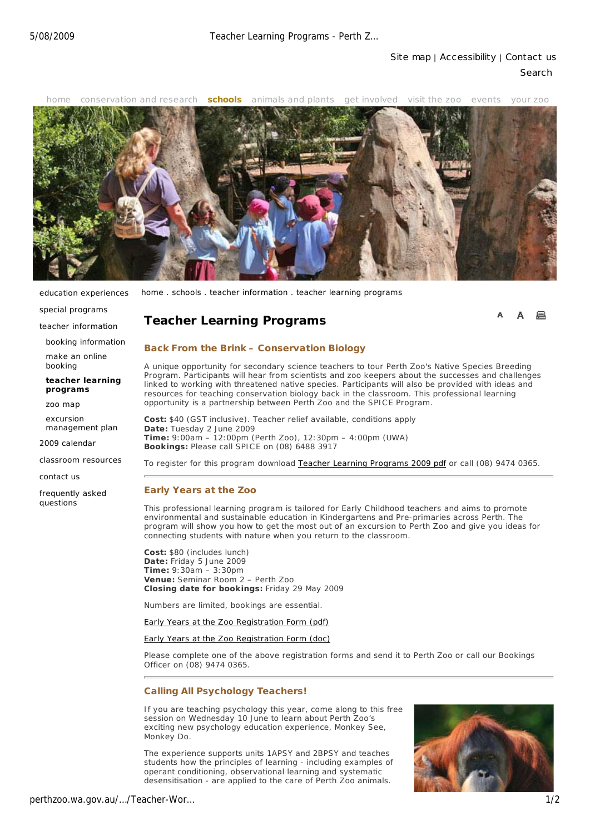

education experiences

special programs teacher information booking information make an online booking

home . schools . teacher information . teacher learning programs

# **Teacher Learning Programs**

#### **Back From the Brink – Conservation Biology**

A unique opportunity for secondary science teachers to tour Perth Zoo's Native Species Breeding Program. Participants will hear from scientists and zoo keepers about the successes and challenges linked to working with threatened native species. Participants will also be provided with ideas and resources for teaching conservation biology back in the classroom. This professional learning opportunity is a partnership between Perth Zoo and the SPICE Program.

**Cost:** \$40 (GST inclusive). Teacher relief available, conditions apply **Date:** Tuesday 2 June 2009 **Time:** 9:00am – 12:00pm (Perth Zoo), 12:30pm – 4:00pm (UWA) **Bookings:** Please call SPICE on (08) 6488 3917

classroom resources

**teacher learning programs** zoo map excursion management plan

contact us

2009 calendar

frequently asked questions

### **Early Years at the Zoo**

This professional learning program is tailored for Early Childhood teachers and aims to promote environmental and sustainable education in Kindergartens and Pre-primaries across Perth. The program will show you how to get the most out of an excursion to Perth Zoo and give you ideas for connecting students with nature when you return to the classroom.

To register for this program download Teacher Learning Programs 2009 pdf or call (08) 9474 0365.

**Cost:** \$80 (includes lunch) **Date:** Friday 5 June 2009 **Time:** 9:30am – 3:30pm **Venue:** Seminar Room 2 – Perth Zoo **Closing date for bookings:** Friday 29 May 2009

Numbers are limited, bookings are essential.

Early Years at the Zoo Registration Form (pdf)

#### Early Years at the Zoo Registration Form (doc)

Please complete one of the above registration forms and send it to Perth Zoo or call our Bookings Officer on (08) 9474 0365.

### **Calling All Psychology Teachers!**

If you are teaching psychology this year, come along to this free session on Wednesday 10 June to learn about Perth Zoo's exciting new psychology education experience, Monkey See, Monkey Do.

The experience supports units 1APSY and 2BPSY and teaches students how the principles of learning - including examples of operant conditioning, observational learning and systematic desensitisation - are applied to the care of Perth Zoo animals.